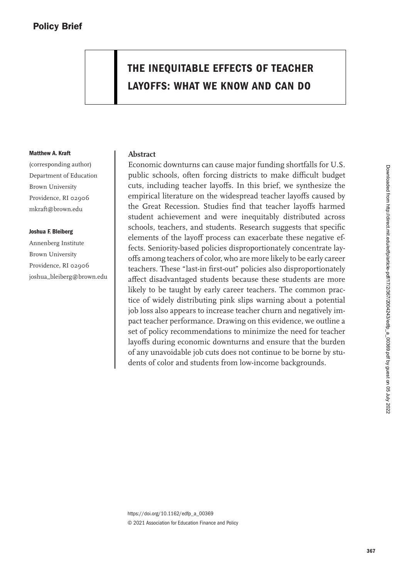# **THE INEQUITABLE EFFECTS OF TEACHER LAYOFFS: WHAT WE KNOW AND CAN DO**

#### **Matthew A. Kraft**

(corresponding author) Department of Education Brown University Providence, RI 02906 mkraft@brown.edu

#### **Joshua F. Bleiberg**

Annenberg Institute Brown University Providence, RI 02906 joshua\_bleiberg@brown.edu

## **Abstract**

Economic downturns can cause major funding shortfalls for U.S. public schools, often forcing districts to make difficult budget cuts, including teacher layoffs. In this brief, we synthesize the empirical literature on the widespread teacher layoffs caused by the Great Recession. Studies find that teacher layoffs harmed student achievement and were inequitably distributed across schools, teachers, and students. Research suggests that specific elements of the layoff process can exacerbate these negative effects. Seniority-based policies disproportionately concentrate layoffs among teachers of color, who are more likely to be early career teachers. These "last-in first-out" policies also disproportionately affect disadvantaged students because these students are more likely to be taught by early career teachers. The common practice of widely distributing pink slips warning about a potential job loss also appears to increase teacher churn and negatively impact teacher performance. Drawing on this evidence, we outline a set of policy recommendations to minimize the need for teacher layoffs during economic downturns and ensure that the burden of any unavoidable job cuts does not continue to be borne by students of color and students from low-income backgrounds.

[https://doi.org/10.1162/edfp\\_a\\_00369](https://doi.org/10.1162/edfp_a_00369) © 2021 Association for Education Finance and Policy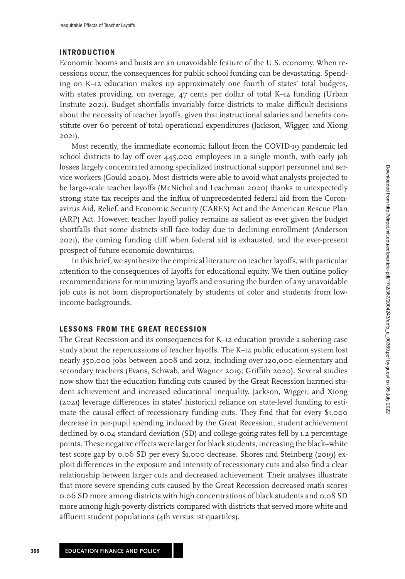# **INTRODUCTION**

Economic booms and busts are an unavoidable feature of the U.S. economy. When recessions occur, the consequences for public school funding can be devastating. Spending on K–12 education makes up approximately one fourth of states' total budgets, with states providing, on average, 47 cents per dollar of total K–12 funding (Urban Instiute [2021\)](#page-10-0). Budget shortfalls invariably force districts to make difficult decisions about the necessity of teacher layoffs, given that instructional salaries and benefits constitute over 60 percent of total operational expenditures (Jackson, Wigger, and Xiong [2021\)](#page-9-0).

Most recently, the immediate economic fallout from the COVID-19 pandemic led school districts to lay off over 445,000 employees in a single month, with early job losses largely concentrated among specialized instructional support personnel and service workers (Gould [2020\)](#page-9-1). Most districts were able to avoid what analysts projected to be large-scale teacher layoffs (McNichol and Leachman [2020\)](#page-9-2) thanks to unexpectedly strong state tax receipts and the influx of unprecedented federal aid from the Coronavirus Aid, Relief, and Economic Security (CARES) Act and the American Rescue Plan (ARP) Act. However, teacher layoff policy remains as salient as ever given the budget shortfalls that some districts still face today due to declining enrollment (Anderson [2021\)](#page-7-0), the coming funding cliff when federal aid is exhausted, and the ever-present prospect of future economic downturns.

In this brief, we synthesize the empirical literature on teacher layoffs, with particular attention to the consequences of layoffs for educational equity. We then outline policy recommendations for minimizing layoffs and ensuring the burden of any unavoidable job cuts is not born disproportionately by students of color and students from lowincome backgrounds.

# **LESSONS FROM THE GREAT RECESSION**

The Great Recession and its consequences for K–12 education provide a sobering case study about the repercussions of teacher layoffs. The K–12 public education system lost nearly 350,000 jobs between 2008 and 2012, including over 120,000 elementary and secondary teachers (Evans, Schwab, and Wagner [2019;](#page-8-0) Griffith [2020\)](#page-9-3). Several studies now show that the education funding cuts caused by the Great Recession harmed student achievement and increased educational inequality. Jackson, Wigger, and Xiong [\(2021\)](#page-9-0) leverage differences in states' historical reliance on state-level funding to estimate the causal effect of recessionary funding cuts. They find that for every \$1,000 decrease in per-pupil spending induced by the Great Recession, student achievement declined by 0.04 standard deviation (SD) and college-going rates fell by 1.2 percentage points. These negative effects were larger for black students, increasing the black–white test score gap by 0.06 SD per every \$1,000 decrease. Shores and Steinberg [\(2019\)](#page-10-1) exploit differences in the exposure and intensity of recessionary cuts and also find a clear relationship between larger cuts and decreased achievement. Their analyses illustrate that more severe spending cuts caused by the Great Recession decreased math scores 0.06 SD more among districts with high concentrations of black students and 0.08 SD more among high-poverty districts compared with districts that served more white and affluent student populations (4th versus 1st quartiles).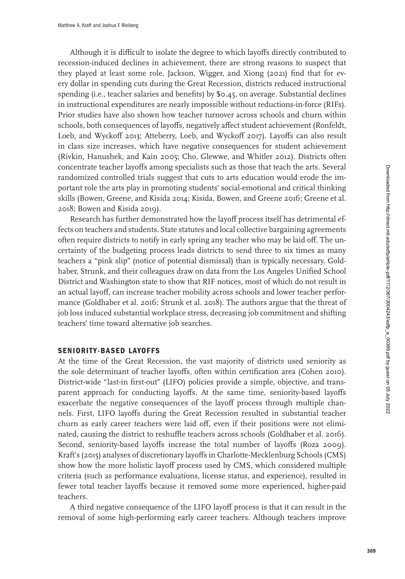Although it is difficult to isolate the degree to which layoffs directly contributed to recession-induced declines in achievement, there are strong reasons to suspect that they played at least some role. Jackson, Wigger, and Xiong [\(2021\)](#page-9-0) find that for every dollar in spending cuts during the Great Recession, districts reduced instructional spending (i.e., teacher salaries and benefits) by \$0.45, on average. Substantial declines in instructional expenditures are nearly impossible without reductions-in-force (RIFs). Prior studies have also shown how teacher turnover across schools and churn within schools, both consequences of layoffs, negatively affect student achievement (Ronfeldt, Loeb, and Wyckoff [2013;](#page-10-2) Atteberry, Loeb, and Wyckoff [2017\)](#page-7-1). Layoffs can also result in class size increases, which have negative consequences for student achievement (Rivkin, Hanushek, and Kain [2005;](#page-9-4) Cho, Glewwe, and Whitler [2012\)](#page-7-2). Districts often concentrate teacher layoffs among specialists such as those that teach the arts. Several randomized controlled trials suggest that cuts to arts education would erode the important role the arts play in promoting students' social-emotional and critical thinking skills (Bowen, Greene, and Kisida [2014;](#page-7-3) Kisida, Bowen, and Greene [2016;](#page-9-5) Greene et al. [2018;](#page-9-6) Bowen and Kisida [2019\)](#page-7-4).

Research has further demonstrated how the layoff process itself has detrimental effects on teachers and students. State statutes and local collective bargaining agreements often require districts to notify in early spring any teacher who may be laid off. The uncertainty of the budgeting process leads districts to send three to six times as many teachers a "pink slip" (notice of potential dismissal) than is typically necessary. Goldhaber, Strunk, and their colleagues draw on data from the Los Angeles Unified School District and Washington state to show that RIF notices, most of which do not result in an actual layoff, can increase teacher mobility across schools and lower teacher performance (Goldhaber et al. [2016;](#page-8-1) Strunk et al. [2018\)](#page-10-3). The authors argue that the threat of job loss induced substantial workplace stress, decreasing job commitment and shifting teachers' time toward alternative job searches.

# **SENIORITY-BASED LAYOFFS**

At the time of the Great Recession, the vast majority of districts used seniority as the sole determinant of teacher layoffs, often within certification area (Cohen [2010\)](#page-8-2). District-wide "last-in first-out" (LIFO) policies provide a simple, objective, and transparent approach for conducting layoffs. At the same time, seniority-based layoffs exacerbate the negative consequences of the layoff process through multiple channels. First, LIFO layoffs during the Great Recession resulted in substantial teacher churn as early career teachers were laid off, even if their positions were not eliminated, causing the district to reshuffle teachers across schools (Goldhaber et al. [2016\)](#page-8-1). Second, seniority-based layoffs increase the total number of layoffs (Roza [2009\)](#page-10-4). Kraft's [\(2015\)](#page-9-7) analyses of discretionary layoffs in Charlotte-Mecklenburg Schools (CMS) show how the more holistic layoff process used by CMS, which considered multiple criteria (such as performance evaluations, license status, and experience), resulted in fewer total teacher layoffs because it removed some more experienced, higher-paid teachers.

A third negative consequence of the LIFO layoff process is that it can result in the removal of some high-performing early career teachers. Although teachers improve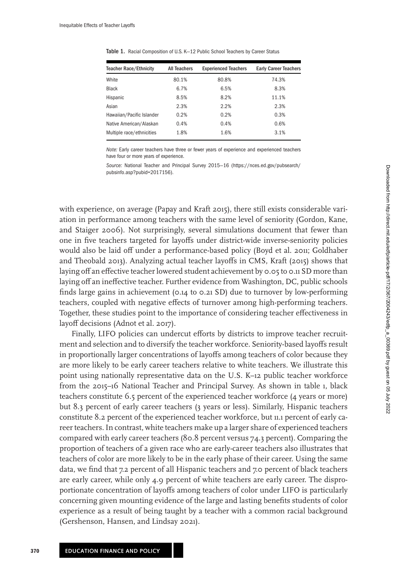| <b>Teacher Race/Ethnicity</b> | <b>All Teachers</b> | <b>Experienced Teachers</b> | <b>Early Career Teachers</b> |
|-------------------------------|---------------------|-----------------------------|------------------------------|
| White                         | 80.1%               | 80.8%                       | 74.3%                        |
| <b>Black</b>                  | 6.7%                | 6.5%                        | 8.3%                         |
| Hispanic                      | 8.5%                | 8.2%                        | 11.1%                        |
| Asian                         | 2.3%                | 2.2%                        | 2.3%                         |
| Hawaiian/Pacific Islander     | 0.2%                | 0.2%                        | 0.3%                         |
| Native American/Alaskan       | 0.4%                | 0.4%                        | 0.6%                         |
| Multiple race/ethnicities     | 1.8%                | 1.6%                        | 3.1%                         |

<span id="page-3-0"></span>Table 1. Racial Composition of U.S. K—12 Public School Teachers by Career Status

Note: Early career teachers have three or fewer years of experience and experienced teachers have four or more years of experience.

Source: [National Teacher and Principal Survey 2015—16 \(https://nces](https://nces.ed.gov/pubsearch/pubsinfo.asp?pubid=2017156).ed.gov/pubsearch/ pubsinfo.asp?pubid=2017156).

with experience, on average (Papay and Kraft [2015\)](#page-9-8), there still exists considerable variation in performance among teachers with the same level of seniority (Gordon, Kane, and Staiger [2006\)](#page-8-3). Not surprisingly, several simulations document that fewer than one in five teachers targeted for layoffs under district-wide inverse-seniority policies would also be laid off under a performance-based policy (Boyd et al. [2011;](#page-7-5) Goldhaber and Theobald [2013\)](#page-8-4). Analyzing actual teacher layoffs in CMS, Kraft [\(2015\)](#page-9-7) shows that laying off an effective teacher lowered student achievement by 0.05 to 0.11 SD more than laying off an ineffective teacher. Further evidence from Washington, DC, public schools finds large gains in achievement (0.14 to 0.21 SD) due to turnover by low-performing teachers, coupled with negative effects of turnover among high-performing teachers. Together, these studies point to the importance of considering teacher effectiveness in layoff decisions (Adnot et al. [2017\)](#page-7-6).

Finally, LIFO policies can undercut efforts by districts to improve teacher recruitment and selection and to diversify the teacher workforce. Seniority-based layoffs result in proportionally larger concentrations of layoffs among teachers of color because they are more likely to be early career teachers relative to white teachers. We illustrate this point using nationally representative data on the U.S. K–12 public teacher workforce from the 2015–16 National Teacher and Principal Survey. As shown in table [1,](#page-3-0) black teachers constitute 6.5 percent of the experienced teacher workforce (4 years or more) but 8.3 percent of early career teachers (3 years or less). Similarly, Hispanic teachers constitute 8.2 percent of the experienced teacher workforce, but 11.1 percent of early career teachers. In contrast, white teachers make up a larger share of experienced teachers compared with early career teachers (80.8 percent versus 74.3 percent). Comparing the proportion of teachers of a given race who are early-career teachers also illustrates that teachers of color are more likely to be in the early phase of their career. Using the same data, we find that 7.2 percent of all Hispanic teachers and 7.0 percent of black teachers are early career, while only 4.9 percent of white teachers are early career. The disproportionate concentration of layoffs among teachers of color under LIFO is particularly concerning given mounting evidence of the large and lasting benefits students of color experience as a result of being taught by a teacher with a common racial background (Gershenson, Hansen, and Lindsay [2021\)](#page-8-5).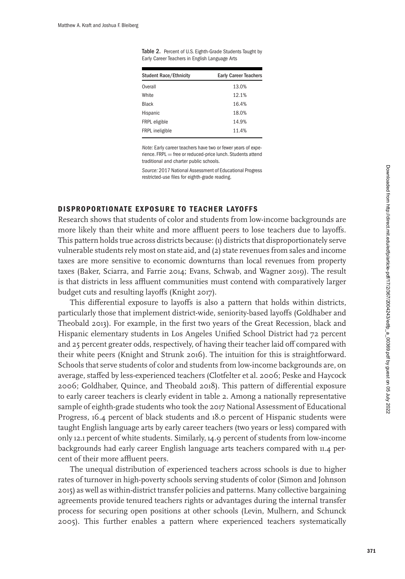| <b>Student Race/Ethnicity</b> | <b>Early Career Teachers</b> |  |
|-------------------------------|------------------------------|--|
| Overall                       | 13.0%                        |  |
| White                         | 12.1%                        |  |
| <b>Black</b>                  | 16.4%                        |  |
| Hispanic                      | 18.0%                        |  |
| FRPL eligible                 | 14.9%                        |  |
| FRPL ineligible               | 11.4%                        |  |

<span id="page-4-0"></span>Table 2. Percent of U.S. Eighth-Grade Students Taught by Early Career Teachers in English Language Arts

Note: Early career teachers have two or fewer years of experience. FRPL = free or reduced-price lunch. Students attend traditional and charter public schools.

Source: 2017 National Assessment of Educational Progress restricted-use files for eighth-grade reading.

# **DISPROPORTIONATE EXPOSURE TO TEACHER LAYOFFS**

Research shows that students of color and students from low-income backgrounds are more likely than their white and more affluent peers to lose teachers due to layoffs. This pattern holds true across districts because: (1) districts that disproportionately serve vulnerable students rely most on state aid, and (2) state revenues from sales and income taxes are more sensitive to economic downturns than local revenues from property taxes (Baker, Sciarra, and Farrie [2014;](#page-7-7) Evans, Schwab, and Wagner [2019\)](#page-8-0). The result is that districts in less affluent communities must contend with comparatively larger budget cuts and resulting layoffs (Knight [2017\)](#page-9-9).

This differential exposure to layoffs is also a pattern that holds within districts, particularly those that implement district-wide, seniority-based layoffs (Goldhaber and Theobald [2013\)](#page-8-4). For example, in the first two years of the Great Recession, black and Hispanic elementary students in Los Angeles Unified School District had 72 percent and 25 percent greater odds, respectively, of having their teacher laid off compared with their white peers (Knight and Strunk [2016\)](#page-9-10). The intuition for this is straightforward. Schools that serve students of color and students from low-income backgrounds are, on average, staffed by less-experienced teachers (Clotfelter et al. [2006;](#page-7-8) Peske and Haycock [2006;](#page-9-11) Goldhaber, Quince, and Theobald [2018\)](#page-8-6). This pattern of differential exposure to early career teachers is clearly evident in table [2.](#page-4-0) Among a nationally representative sample of eighth-grade students who took the 2017 National Assessment of Educational Progress, 16.4 percent of black students and 18.0 percent of Hispanic students were taught English language arts by early career teachers (two years or less) compared with only 12.1 percent of white students. Similarly, 14.9 percent of students from low-income backgrounds had early career English language arts teachers compared with 11.4 percent of their more affluent peers.

The unequal distribution of experienced teachers across schools is due to higher rates of turnover in high-poverty schools serving students of color (Simon and Johnson [2015\)](#page-10-5) as well as within-district transfer policies and patterns. Many collective bargaining agreements provide tenured teachers rights or advantages during the internal transfer process for securing open positions at other schools (Levin, Mulhern, and Schunck [2005\)](#page-9-12). This further enables a pattern where experienced teachers systematically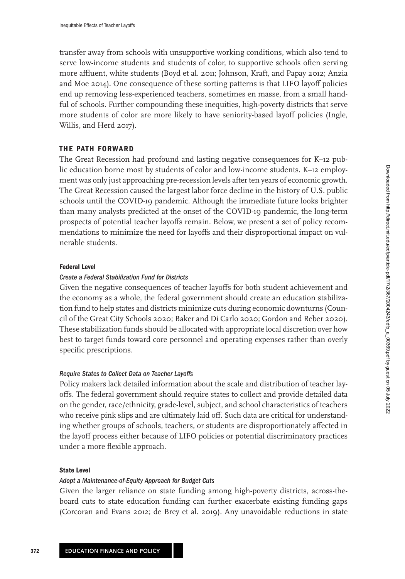transfer away from schools with unsupportive working conditions, which also tend to serve low-income students and students of color, to supportive schools often serving more affluent, white students (Boyd et al. [2011;](#page-7-5) Johnson, Kraft, and Papay [2012;](#page-9-13) Anzia and Moe [2014\)](#page-7-9). One consequence of these sorting patterns is that LIFO layoff policies end up removing less-experienced teachers, sometimes en masse, from a small handful of schools. Further compounding these inequities, high-poverty districts that serve more students of color are more likely to have seniority-based layoff policies (Ingle, Willis, and Herd [2017\)](#page-9-14).

# **THE PATH FORWARD**

The Great Recession had profound and lasting negative consequences for K–12 public education borne most by students of color and low-income students. K–12 employment was only just approaching pre-recession levels after ten years of economic growth. The Great Recession caused the largest labor force decline in the history of U.S. public schools until the COVID-19 pandemic. Although the immediate future looks brighter than many analysts predicted at the onset of the COVID-19 pandemic, the long-term prospects of potential teacher layoffs remain. Below, we present a set of policy recommendations to minimize the need for layoffs and their disproportional impact on vulnerable students.

## **Federal Level**

## Create a Federal Stabilization Fund for Districts

Given the negative consequences of teacher layoffs for both student achievement and the economy as a whole, the federal government should create an education stabilization fund to help states and districts minimize cuts during economic downturns (Council of the Great City Schools [2020;](#page-8-7) Baker and Di Carlo [2020;](#page-7-10) Gordon and Reber [2020\)](#page-8-8). These stabilization funds should be allocated with appropriate local discretion over how best to target funds toward core personnel and operating expenses rather than overly specific prescriptions.

## Require States to Collect Data on Teacher Layoffs

Policy makers lack detailed information about the scale and distribution of teacher layoffs. The federal government should require states to collect and provide detailed data on the gender, race/ethnicity, grade-level, subject, and school characteristics of teachers who receive pink slips and are ultimately laid off. Such data are critical for understanding whether groups of schools, teachers, or students are disproportionately affected in the layoff process either because of LIFO policies or potential discriminatory practices under a more flexible approach.

#### **State Level**

#### Adopt a Maintenance-of-Equity Approach for Budget Cuts

Given the larger reliance on state funding among high-poverty districts, across-theboard cuts to state education funding can further exacerbate existing funding gaps (Corcoran and Evans [2012;](#page-8-9) de Brey et al. [2019\)](#page-8-10). Any unavoidable reductions in state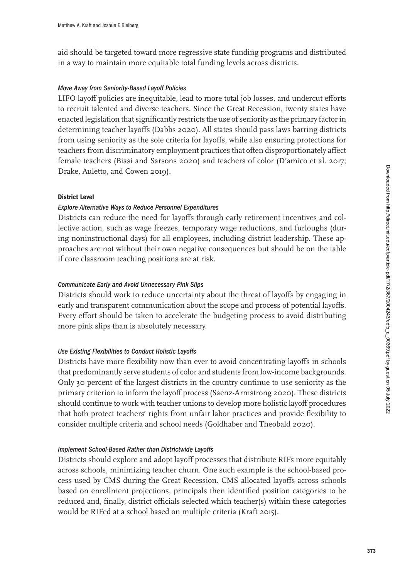aid should be targeted toward more regressive state funding programs and distributed in a way to maintain more equitable total funding levels across districts.

# Move Away from Seniority-Based Layoff Policies

LIFO layoff policies are inequitable, lead to more total job losses, and undercut efforts to recruit talented and diverse teachers. Since the Great Recession, twenty states have enacted legislation that significantly restricts the use of seniority as the primary factor in determining teacher layoffs (Dabbs [2020\)](#page-8-11). All states should pass laws barring districts from using seniority as the sole criteria for layoffs, while also ensuring protections for teachers from discriminatory employment practices that often disproportionately affect female teachers (Biasi and Sarsons [2020\)](#page-7-11) and teachers of color (D'amico et al. [2017;](#page-8-12) Drake, Auletto, and Cowen [2019\)](#page-8-13).

## **District Level**

# Explore Alternative Ways to Reduce Personnel Expenditures

Districts can reduce the need for layoffs through early retirement incentives and collective action, such as wage freezes, temporary wage reductions, and furloughs (during noninstructional days) for all employees, including district leadership. These approaches are not without their own negative consequences but should be on the table if core classroom teaching positions are at risk.

# Communicate Early and Avoid Unnecessary Pink Slips

Districts should work to reduce uncertainty about the threat of layoffs by engaging in early and transparent communication about the scope and process of potential layoffs. Every effort should be taken to accelerate the budgeting process to avoid distributing more pink slips than is absolutely necessary.

# Use Existing Flexibilities to Conduct Holistic Layoffs

Districts have more flexibility now than ever to avoid concentrating layoffs in schools that predominantly serve students of color and students from low-income backgrounds. Only 30 percent of the largest districts in the country continue to use seniority as the primary criterion to inform the layoff process (Saenz-Armstrong [2020\)](#page-10-6). These districts should continue to work with teacher unions to develop more holistic layoff procedures that both protect teachers' rights from unfair labor practices and provide flexibility to consider multiple criteria and school needs (Goldhaber and Theobald [2020\)](#page-8-14).

## Implement School-Based Rather than Districtwide Layoffs

Districts should explore and adopt layoff processes that distribute RIFs more equitably across schools, minimizing teacher churn. One such example is the school-based process used by CMS during the Great Recession. CMS allocated layoffs across schools based on enrollment projections, principals then identified position categories to be reduced and, finally, district officials selected which teacher(s) within these categories would be RIFed at a school based on multiple criteria (Kraft [2015\)](#page-9-7).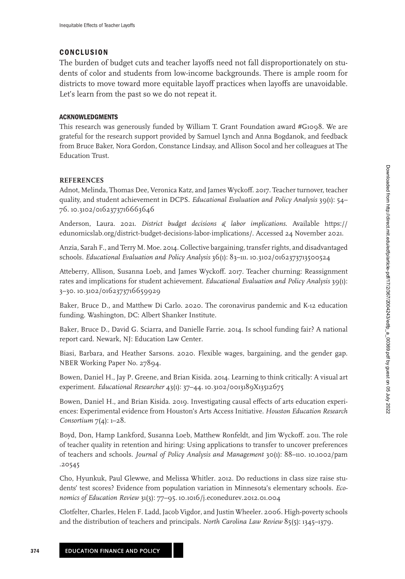# **CONCLUSION**

The burden of budget cuts and teacher layoffs need not fall disproportionately on students of color and students from low-income backgrounds. There is ample room for districts to move toward more equitable layoff practices when layoffs are unavoidable. Let's learn from the past so we do not repeat it.

## **ACKNOWLEDGMENTS**

This research was generously funded by William T. Grant Foundation award #G1098. We are grateful for the research support provided by Samuel Lynch and Anna Bogdanok, and feedback from Bruce Baker, Nora Gordon, Constance Lindsay, and Allison Socol and her colleagues at The Education Trust.

## **REFERENCES**

<span id="page-7-6"></span>Adnot, Melinda, Thomas Dee, Veronica Katz, and James Wyckoff. 2017. Teacher turnover, teacher quality, and student achievement in DCPS. *Educational Evaluation and Policy Analysis* 39(1): 54– 76. 10.[3102/0162373716663646](https://doi.org/10.3102/0162373716663646)

<span id="page-7-0"></span>Anderson, Laura. 2021. *District budget decisions & labor implications*. Available https:// edunomicslab.[org/district-budget-decisions-labor-implications/. Accessed 24 November 2021.](https://edunomicslab.org/district-budget-decisions-labor-implications/)

<span id="page-7-9"></span>Anzia, Sarah F., and Terry M. Moe. 2014. Collective bargaining, transfer rights, and disadvantaged schools. *Educational Evaluation and Policy Analysis* 36(1): 83–111. 10.[3102/0162373713500524](https://doi.org/10.3102/0162373713500524)

<span id="page-7-1"></span>Atteberry, Allison, Susanna Loeb, and James Wyckoff. 2017. Teacher churning: Reassignment rates and implications for student achievement. *Educational Evaluation and Policy Analysis* 39(1): 3–30. 10.[3102/0162373716659929](https://doi.org/10.3102/0162373716659929)

<span id="page-7-10"></span>Baker, Bruce D., and Matthew Di Carlo. 2020. The coronavirus pandemic and K-12 education funding. Washington, DC: Albert Shanker Institute.

<span id="page-7-7"></span>Baker, Bruce D., David G. Sciarra, and Danielle Farrie. 2014. Is school funding fair? A national report card. Newark, NJ: Education Law Center.

<span id="page-7-11"></span>Biasi, Barbara, and Heather Sarsons. 2020. Flexible wages, bargaining, and the gender gap. NBER Working Paper No. 27894.

<span id="page-7-3"></span>Bowen, Daniel H., Jay P. Greene, and Brian Kisida. 2014. Learning to think critically: A visual art experiment. *Educational Researcher* 43(1): 37–44. 10.[3102/0013189X13512675](https://doi.org/10.3102/0013189X13512675)

<span id="page-7-4"></span>Bowen, Daniel H., and Brian Kisida. 2019. Investigating causal effects of arts education experiences: Experimental evidence from Houston's Arts Access Initiative. *Houston Education Research Consortium* 7(4): 1–28.

<span id="page-7-5"></span>Boyd, Don, Hamp Lankford, Susanna Loeb, Matthew Ronfeldt, and Jim Wyckoff. 2011. The role of teacher quality in retention and hiring: Using applications to transfer to uncover preferences of teachers and schools. *[Journal of Policy Analysis and Management](https://doi.org/10.1002/pam.20545)* 30(1): 88–110. 10.1002/pam .20545

<span id="page-7-2"></span>Cho, Hyunkuk, Paul Glewwe, and Melissa Whitler. 2012. Do reductions in class size raise students' test scores? Evidence from population variation in Minnesota's elementary schools. *Economics of Education Review* 31(3): 77–95. 10.1016/j.[econedurev](https://doi.org/10.1016/j.econedurev.2012.01.004).2012.01.004

<span id="page-7-8"></span>Clotfelter, Charles, Helen F. Ladd, Jacob Vigdor, and Justin Wheeler. 2006. High-poverty schools and the distribution of teachers and principals. *North Carolina Law Review* 85(5): 1345–1379.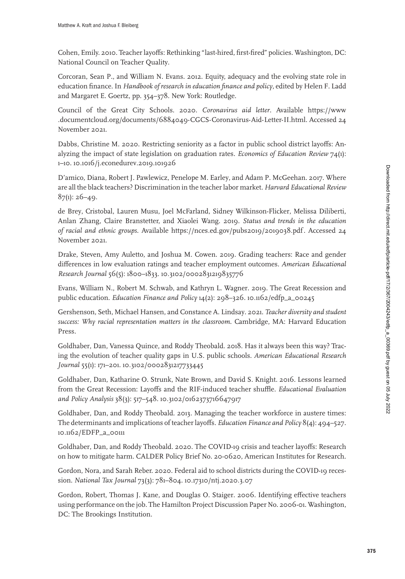<span id="page-8-2"></span>Cohen, Emily. 2010. Teacher layoffs: Rethinking "last-hired, first-fired" policies. Washington, DC: National Council on Teacher Quality.

<span id="page-8-9"></span>Corcoran, Sean P., and William N. Evans. 2012. Equity, adequacy and the evolving state role in education finance. In *Handbook of research in education finance and policy*, edited by Helen F. Ladd and Margaret E. Goertz, pp. 354–378. New York: Routledge.

<span id="page-8-7"></span>Council of the Great City Schools. 2020. *Coronavirus aid letter*. Available https://www .documentcloud.[org/documents/6884049-CGCS-Coronavirus-Aid-Letter-II](https://www.documentcloud.org/documents/6884049-CGCS-Coronavirus-Aid-Letter-II.html).html. Accessed 24 November 2021.

<span id="page-8-11"></span>Dabbs, Christine M. 2020. Restricting seniority as a factor in public school district layoffs: Analyzing the impact of state legislation on graduation rates. *Economics of Education Review* 74(1): 1–10. 10.1016/j.[econedurev](https://doi.org/10.1016/j.econedurev.2019.101926).2019.101926

<span id="page-8-12"></span>D'amico, Diana, Robert J. Pawlewicz, Penelope M. Earley, and Adam P. McGeehan. 2017. Where are all the black teachers? Discrimination in the teacher labor market. *Harvard Educational Review*  $87(1): 26 - 49.$ 

<span id="page-8-10"></span>de Brey, Cristobal, Lauren Musu, Joel McFarland, Sidney Wilkinson-Flicker, Melissa Diliberti, Anlan Zhang, Claire Branstetter, and Xiaolei Wang. 2019. *Status and trends in the education of racial and ethnic groups*. Available https://nces.ed.[gov/pubs2019/2019038](https://nces.ed.gov/pubs2019/2019038.pdf).pdf . Accessed 24 November 2021.

<span id="page-8-13"></span>Drake, Steven, Amy Auletto, and Joshua M. Cowen. 2019. Grading teachers: Race and gender differences in low evaluation ratings and teacher employment outcomes. *American Educational Research Journal* 56(5): 1800–1833. 10.[3102/0002831219835776](https://doi.org/10.3102/0002831219835776)

<span id="page-8-0"></span>Evans, William N., Robert M. Schwab, and Kathryn L. Wagner. 2019. The Great Recession and public education. *Education Finance and Policy* 14(2): 298–326. 10.[1162/edfp\\_a\\_00245](https://doi.org/10.1162/edfp_a_00245)

<span id="page-8-5"></span>Gershenson, Seth, Michael Hansen, and Constance A. Lindsay. 2021. *Teacher diversity and student success: Why racial representation matters in the classroom*. Cambridge, MA: Harvard Education Press.

<span id="page-8-6"></span>Goldhaber, Dan, Vanessa Quince, and Roddy Theobald. 2018. Has it always been this way? Tracing the evolution of teacher quality gaps in U.S. public schools. *American Educational Research Journal* 55(1): 171–201. 10.[3102/0002831217733445](https://doi.org/10.3102/0002831217733445)

<span id="page-8-1"></span>Goldhaber, Dan, Katharine O. Strunk, Nate Brown, and David S. Knight. 2016. Lessons learned from the Great Recession: Layoffs and the RIF-induced teacher shuffle. *Educational Evaluation and Policy Analysis* 38(3): 517–548. 10.[3102/0162373716647917](https://doi.org/10.3102/0162373716647917)

<span id="page-8-4"></span>Goldhaber, Dan, and Roddy Theobald. 2013. Managing the teacher workforce in austere times: The determinants and implications of teacher layoffs. *Education Finance and Policy* 8(4): 494–527. 10.[1162/EDFP\\_a\\_00111](https://doi.org/10.1162/EDFP_a_00111)

<span id="page-8-14"></span>Goldhaber, Dan, and Roddy Theobald. 2020. The COVID-19 crisis and teacher layoffs: Research on how to mitigate harm. CALDER Policy Brief No. 20-0620, American Institutes for Research.

<span id="page-8-8"></span>Gordon, Nora, and Sarah Reber. 2020. Federal aid to school districts during the COVID-19 recession. *National Tax Journal* 73(3): 781–804. 10.[17310/ntj](https://doi.org/10.17310/ntj.2020.3.07).2020.3.07

<span id="page-8-3"></span>Gordon, Robert, Thomas J. Kane, and Douglas O. Staiger. 2006. Identifying effective teachers using performance on the job. The Hamilton Project Discussion Paper No. 2006-01. Washington, DC: The Brookings Institution.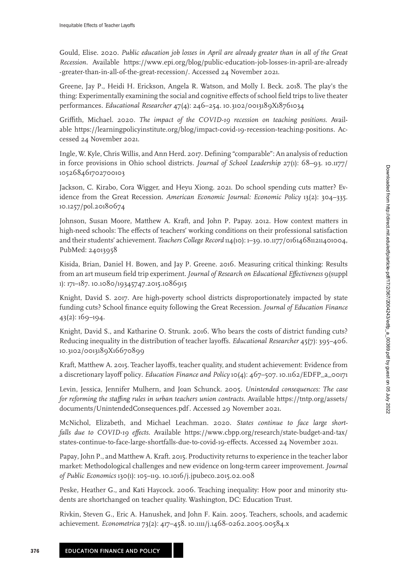<span id="page-9-1"></span>Gould, Elise. 2020. *Public education job losses in April are already greater than in all of the Great Recession*. Available https://www.epi.org/blog/public-education-job-losses-in-april-are-already [-greater-than-in-all-of-the-great-recession/. Accessed 24 November 2021.](https://www.epi.org/blog/public-education-job-losses-in-april-are-already-greater-than-in-all-of-the-great-recession/)

<span id="page-9-6"></span>Greene, Jay P., Heidi H. Erickson, Angela R. Watson, and Molly I. Beck. 2018. The play's the thing: Experimentally examining the social and cognitive effects of school field trips to live theater performances. *Educational Researcher* 47(4): 246–254. 10.[3102/0013189X18761034](https://doi.org/10.3102/0013189X18761034)

<span id="page-9-3"></span>Griffith, Michael. 2020. *The impact of the COVID-19 recession on teaching positions*. Available https://learningpolicyinstitute.[org/blog/impact-covid-19-recession-teaching-positions.](https://learningpolicyinstitute.org/blog/impact-covid-19-recession-teaching-positions) Accessed 24 November 2021.

<span id="page-9-14"></span>Ingle, W. Kyle, Chris Willis, and Ann Herd. 2017. Defining "comparable": An analysis of reduction [in force provisions in Ohio school districts.](https://doi.org/10.1177/105268461702700103) *Journal of School Leadership* 27(1): 68–93. 10.1177/ 105268461702700103

<span id="page-9-0"></span>Jackson, C. Kirabo, Cora Wigger, and Heyu Xiong. 2021. Do school spending cuts matter? Evidence from the Great Recession. *American Economic Journal: Economic Policy* 13(2): 304–335. 10.1257/pol.[20180674](https://doi.org/10.1257/pol.20180674)

<span id="page-9-13"></span>Johnson, Susan Moore, Matthew A. Kraft, and John P. Papay. 2012. How context matters in high-need schools: The effects of teachers' working conditions on their professional satisfaction and their students' achievement. *Teachers College Record* 114(10): 1–39. 10.[1177/016146811211401004,](https://doi.org/10.1177/016146811211401004) PubMed: [24013958](https://www.ncbi.nlm.nih.gov/pubmed/24013958)

<span id="page-9-5"></span>Kisida, Brian, Daniel H. Bowen, and Jay P. Greene. 2016. Measuring critical thinking: Results from an art museum field trip experiment. *Journal of Research on Educational Effectiveness* 9(suppl 1): 171–187. 10.[1080/19345747](https://doi.org/10.1080/19345747.2015.1086915).2015.1086915

<span id="page-9-9"></span>Knight, David S. 2017. Are high-poverty school districts disproportionately impacted by state funding cuts? School finance equity following the Great Recession. *Journal of Education Finance* 43(2): 169–194.

<span id="page-9-10"></span>Knight, David S., and Katharine O. Strunk. 2016. Who bears the costs of district funding cuts? Reducing inequality in the distribution of teacher layoffs. *Educational Researcher* 45(7): 395–406. 10.[3102/0013189X16670899](https://doi.org/10.3102/0013189X16670899)

<span id="page-9-7"></span>Kraft, Matthew A. 2015. Teacher layoffs, teacher quality, and student achievement: Evidence from a discretionary layoff policy. *Education Finance and Policy* 10(4): 467–507. 10.[1162/EDFP\\_a\\_00171](https://doi.org/10.1162/EDFP_a_00171)

<span id="page-9-12"></span>Levin, Jessica, Jennifer Mulhern, and Joan Schunck. 2005. *Unintended consequences: The case [for reforming the staffing rules in urban teachers union contracts](https://tntp.org/assets/documents/UnintendedConsequences.pdf)*. Available https://tntp.org/assets/ documents/UnintendedConsequences.pdf . Accessed 29 November 2021.

<span id="page-9-2"></span>McNichol, Elizabeth, and Michael Leachman. 2020. *States continue to face large shortfalls due to COVID-19 effects*. Available https://www.cbpp.org/research/state-budget-and-tax/ [states-continue-to-face-large-shortfalls-due-to-covid-19-effects. Accessed 24 November 2021.](https://www.cbpp.org/research/state-budget-and-tax/states-continue-to-face-large-shortfalls-due-to-covid-19-effects)

<span id="page-9-8"></span>Papay, John P., and Matthew A. Kraft. 2015. Productivity returns to experience in the teacher labor market: Methodological challenges and new evidence on long-term career improvement. *Journal of Public Economics* 130(1): 105–119. 10.1016/j.[jpubeco](https://doi.org/10.1016/j.jpubeco.2015.02.008).2015.02.008

<span id="page-9-11"></span>Peske, Heather G., and Kati Haycock. 2006. Teaching inequality: How poor and minority students are shortchanged on teacher quality. Washington, DC: Education Trust.

<span id="page-9-4"></span>Rivkin, Steven G., Eric A. Hanushek, and John F. Kain. 2005. Teachers, schools, and academic achievement. *Econometrica* 73(2): 417–458. 10.1111/j.[1468-0262](https://doi.org/10.1111/j.1468-0262.2005.00584.x).2005.00584.x